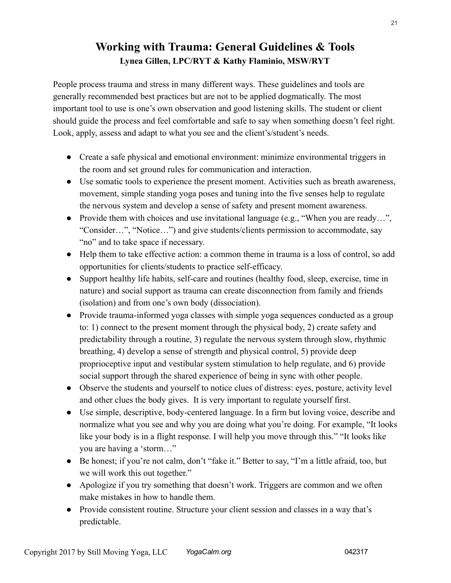## Working with Trauma: General Guidelines & Tools Lynea Gillen, LPC/RYT & Kathy Flaminio, MSW/RYT

People process trauma and stress in many different ways. These guidelines and tools are generally recommended best practices but are not to be applied dogmatically. The most important tool to use is one's own observation and good listening skills. The student or client should guide the process and feel comfortable and safe to say when something doesn't feel right. Look, apply, assess and adapt to what you see and the client's/student's needs.

- Create a safe physical and emotional environment: minimize environmental triggers in the room and set ground rules for communication and interaction.
- Use somatic tools to experience the present moment. Activities such as breath awareness, movement, simple standing yoga poses and tuning into the five senses help to regulate the nervous system and develop a sense of safety and present moment awareness.
- Provide them with choices and use invitational language (e.g., "When you are ready...", "Consider…", "Notice…") and give students/clients permission to accommodate, say "no" and to take space if necessary.
- Help them to take effective action: a common theme in trauma is a loss of control, so add opportunities for clients/students to practice self-efficacy.
- Support healthy life habits, self-care and routines (healthy food, sleep, exercise, time in nature) and social support as trauma can create disconnection from family and friends (isolation) and from one's own body (dissociation).
- Provide trauma-informed yoga classes with simple yoga sequences conducted as a group to: 1) connect to the present moment through the physical body, 2) create safety and predictability through a routine, 3) regulate the nervous system through slow, rhythmic breathing, 4) develop a sense of strength and physical control, 5) provide deep proprioceptive input and vestibular system stimulation to help regulate, and 6) provide social support through the shared experience of being in sync with other people.
- Observe the students and yourself to notice clues of distress: eyes, posture, activity level and other clues the body gives. It is very important to regulate yourself first.
- Use simple, descriptive, body-centered language. In a firm but loving voice, describe and normalize what you see and why you are doing what you're doing. For example, "It looks like your body is in a flight response. I will help you move through this." "It looks like you are having a 'storm…"
- Be honest; if you're not calm, don't "fake it." Better to say, "I'm a little afraid, too, but we will work this out together."
- Apologize if you try something that doesn't work. Triggers are common and we often make mistakes in how to handle them.
- Provide consistent routine. Structure your client session and classes in a way that's predictable.